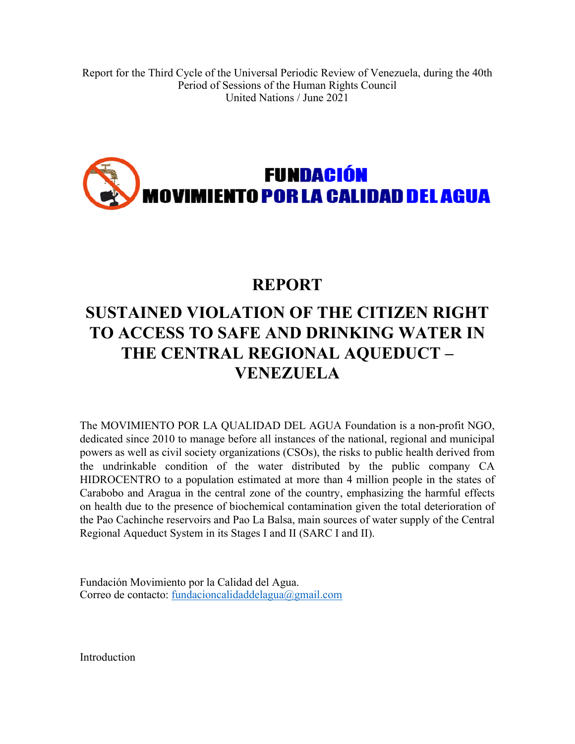# **FUNDACIÓN** FUN<mark>dación</mark><br>Movimiento <mark>por la</mark> calidad <mark>del agua</mark>

### **REPORT**

## **SUSTAINED VIOLATION OF THE CITIZEN RIGHT TO ACCESS TO SAFE AND DRINKING WATER IN THE CENTRAL REGIONAL AQUEDUCT – VENEZUELA**

The MOVIMIENTO POR LA QUALIDAD DEL AGUA Foundation is <sup>a</sup> non-profit NGO, dedicated since 2010 to manage before all instances of the national, regional and municipal powers as well as civil society organizations (CSOs), the risks to public health derived from the undrinkable condition of the water distributed by the public company CA HIDROCENTRO to <sup>a</sup> population estimated at more than 4 million people in the states of Carabobo and Aragua in the central zone of the country, emphasizing the harmful effects on health due to the presence of biochemical contamination given the total deterioration of the Pao Cachinche reservoirs and Pao La Balsa, main sources of water supply of the Central Regional Aqueduct System in its Stages I and II (SARC I and II).

Fundación Movimiento por la Calidad del Agua. Correo de contacto: [fundacioncalidaddelagua@gmail.com](mailto:fundacioncalidaddelagua@gmail.com)

Introduction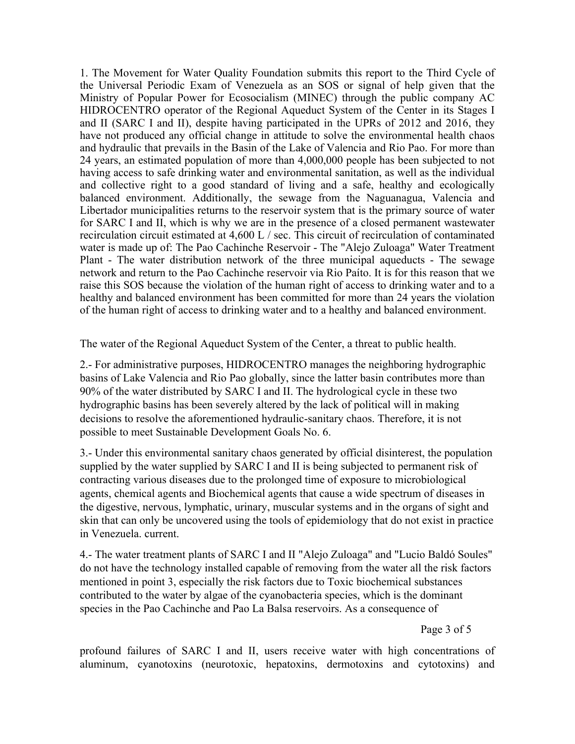1. The Movement for Water Quality Foundation submits this repor<sup>t</sup> to the Third Cycle of the Universal Periodic Exam of Venezuela as an SOS or signal of help given that the Ministry of Popular Power for Ecosocialism (MINEC) through the public company AC HIDROCENTRO operator of the Regional Aqueduct System of the Center in its Stages I and II (SARC I and II), despite having participated in the UPRs of 2012 and 2016, they have not produced any official change in attitude to solve the environmental health chaos and hydraulic that prevails in the Basin of the Lake of Valencia and Rio Pao. For more than 24 years, an estimated population of more than 4,000,000 people has been subjected to not having access to safe drinking water and environmental sanitation, as well as the individual and collective right to <sup>a</sup> good standard of living and <sup>a</sup> safe, healthy and ecologically balanced environment. Additionally, the sewage from the Naguanagua, Valencia and Libertador municipalities returns to the reservoir system that is the primary source of water for SARC I and II, which is why we are in the presence of <sup>a</sup> closed permanen<sup>t</sup> wastewater recirculation circuit estimated at 4,600 L / sec. This circuit of recirculation of contaminated water is made up of: The Pao Cachinche Reservoir - The "Alejo Zuloaga" Water Treatment Plant - The water distribution network of the three municipal aqueducts - The sewage network and return to the Pao Cachinche reservoir via Rio Paíto. It is for this reason that we raise this SOS because the violation of the human right of access to drinking water and to <sup>a</sup> healthy and balanced environment has been committed for more than 24 years the violation of the human right of access to drinking water and to <sup>a</sup> healthy and balanced environment.

The water of the Regional Aqueduct System of the Center, <sup>a</sup> threat to public health.

2.- For administrative purposes, HIDROCENTRO manages the neighboring hydrographic basins of Lake Valencia and Rio Pao globally, since the latter basin contributes more than 90% of the water distributed by SARC I and II. The hydrological cycle in these two hydrographic basins has been severely altered by the lack of political will in making decisions to resolve the aforementioned hydraulic-sanitary chaos. Therefore, it is not possible to meet Sustainable Development Goals No. 6.

3.- Under this environmental sanitary chaos generated by official disinterest, the population supplied by the water supplied by SARC I and II is being subjected to permanen<sup>t</sup> risk of contracting various diseases due to the prolonged time of exposure to microbiological agents, chemical agents and Biochemical agents that cause <sup>a</sup> wide spectrum of diseases in the digestive, nervous, lymphatic, urinary, muscular systems and in the organs of sight and skin that can only be uncovered using the tools of epidemiology that do not exist in practice in Venezuela. current.

4.- The water treatment plants of SARC I and II "Alejo Zuloaga" and "Lucio Baldó Soules" do not have the technology installed capable of removing from the water all the risk factors mentioned in point 3, especially the risk factors due to Toxic biochemical substances contributed to the water by algae of the cyanobacteria species, which is the dominant species in the Pao Cachinche and Pao La Balsa reservoirs. As <sup>a</sup> consequence of

Page 3 of 5

profound failures of SARC I and II, users receive water with high concentrations of aluminum, cyanotoxins (neurotoxic, hepatoxins, dermotoxins and cytotoxins) and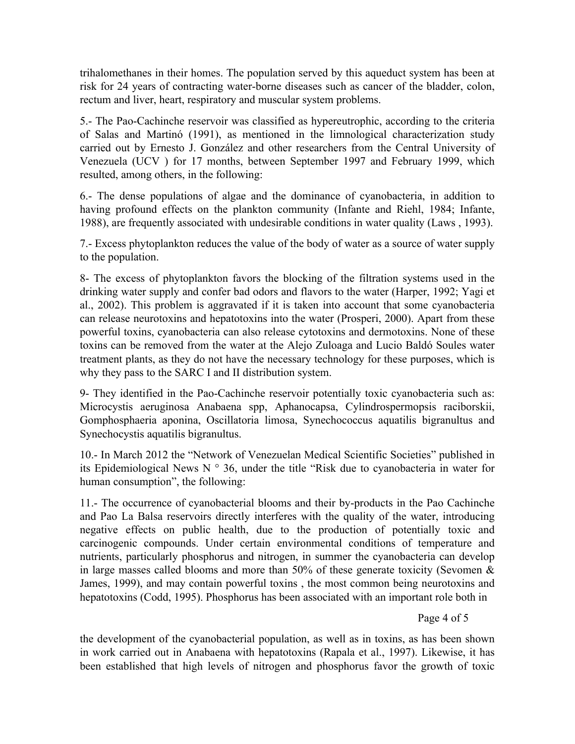trihalomethanes in their homes. The population served by this aqueduct system has been at risk for 24 years of contracting water-borne diseases such as cancer of the bladder, colon, rectum and liver, heart, respiratory and muscular system problems.

5.- The Pao-Cachinche reservoir was classified as hypereutrophic, according to the criteria of Salas and Martinó (1991), as mentioned in the limnological characterization study carried out by Ernesto J. González and other researchers from the Central University of Venezuela (UCV ) for 17 months, between September 1997 and February 1999, which resulted, among others, in the following:

6.- The dense populations of algae and the dominance of cyanobacteria, in addition to having profound effects on the plankton community (Infante and Riehl, 1984; Infante, 1988), are frequently associated with undesirable conditions in water quality (Laws , 1993).

7.- Excess phytoplankton reduces the value of the body of water as <sup>a</sup> source of water supply to the population.

8- The excess of phytoplankton favors the blocking of the filtration systems used in the drinking water supply and confer bad odors and flavors to the water (Harper, 1992; Yagi et al., 2002). This problem is aggravated if it is taken into account that some cyanobacteria can release neurotoxins and hepatotoxins into the water (Prosperi, 2000). Apart from these powerful toxins, cyanobacteria can also release cytotoxins and dermotoxins. None of these toxins can be removed from the water at the Alejo Zuloaga and Lucio Baldó Soules water treatment plants, as they do not have the necessary technology for these purposes, which is why they pass to the SARC I and II distribution system.

9- They identified in the Pao-Cachinche reservoir potentially toxic cyanobacteria such as: Microcystis aeruginosa Anabaena spp, Aphanocapsa, Cylindrospermopsis raciborskii, Gomphosphaeria aponina, Oscillatoria limosa, Synechococcus aquatilis bigranultus and Synechocystis aquatilis bigranultus.

10.- In March 2012 the "Network of Venezuelan Medical Scientific Societies" published in its Epidemiological News N ° 36, under the title "Risk due to cyanobacteria in water for human consumption", the following:

11.- The occurrence of cyanobacterial blooms and their by-products in the Pao Cachinche and Pao La Balsa reservoirs directly interferes with the quality of the water, introducing negative effects on public health, due to the production of potentially toxic and carcinogenic compounds. Under certain environmental conditions of temperature and nutrients, particularly phosphorus and nitrogen, in summer the cyanobacteria can develop in large masses called blooms and more than 50% of these generate toxicity (Sevomen  $\&$ James, 1999), and may contain powerful toxins , the most common being neurotoxins and hepatotoxins (Codd, 1995). Phosphorus has been associated with an important role both in

Page 4 of 5

the development of the cyanobacterial population, as well as in toxins, as has been shown in work carried out in Anabaena with hepatotoxins (Rapala et al., 1997). Likewise, it has been established that high levels of nitrogen and phosphorus favor the growth of toxic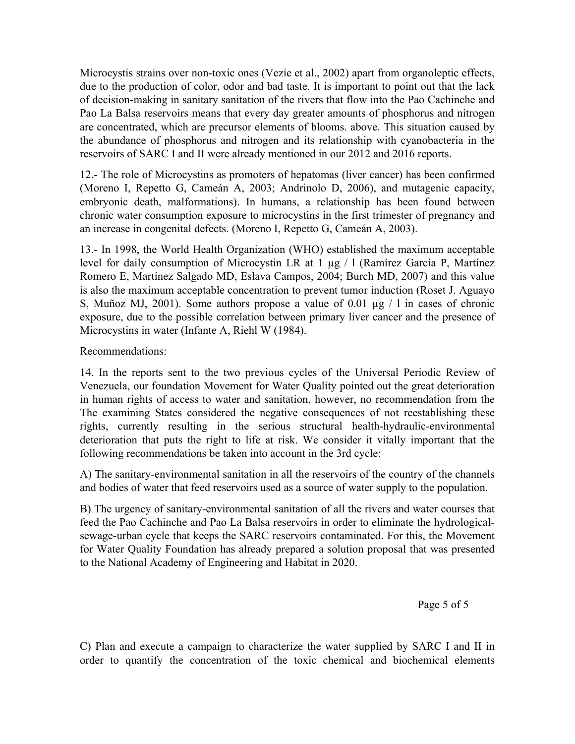Microcystis strains over non-toxic ones (Vezie et al., 2002) apar<sup>t</sup> from organoleptic effects, due to the production of color, odor and bad taste. It is important to point out that the lack of decision-making in sanitary sanitation of the rivers that flow into the Pao Cachinche and Pao La Balsa reservoirs means that every day greater amounts of phosphorus and nitrogen are concentrated, which are precursor elements of blooms. above. This situation caused by the abundance of phosphorus and nitrogen and its relationship with cyanobacteria in the reservoirs of SARC I and II were already mentioned in our 2012 and 2016 reports.

12.- The role of Microcystins as promoters of hepatomas (liver cancer) has been confirmed (Moreno I, Repetto G, Cameán A, 2003; Andrinolo D, 2006), and mutagenic capacity, embryonic death, malformations). In humans, <sup>a</sup> relationship has been found between chronic water consumption exposure to microcystins in the first trimester of pregnancy and an increase in congenital defects. (Moreno I, Repetto G, Cameán A, 2003).

13.- In 1998, the World Health Organization (WHO) established the maximum acceptable level for daily consumption of Microcystin LR at 1 µg / l (Ramírez García P, Martínez Romero E, Martínez Salgado MD, Eslava Campos, 2004; Burch MD, 2007) and this value is also the maximum acceptable concentration to preven<sup>t</sup> tumor induction (Roset J. Aguayo S, Muñoz MJ, 2001). Some authors propose <sup>a</sup> value of 0.01 µg / l in cases of chronic exposure, due to the possible correlation between primary liver cancer and the presence of Microcystins in water (Infante A, Riehl W (1984).

### Recommendations:

14. In the reports sent to the two previous cycles of the Universal Periodic Review of Venezuela, our foundation Movement for Water Quality pointed out the grea<sup>t</sup> deterioration in human rights of access to water and sanitation, however, no recommendation from the The examining States considered the negative consequences of not reestablishing these rights, currently resulting in the serious structural health-hydraulic-environmental deterioration that puts the right to life at risk. We consider it vitally important that the following recommendations be taken into account in the 3rd cycle:

A) The sanitary-environmental sanitation in all the reservoirs of the country of the channels and bodies of water that feed reservoirs used as <sup>a</sup> source of water supply to the population.

B) The urgency of sanitary-environmental sanitation of all the rivers and water courses that feed the Pao Cachinche and Pao La Balsa reservoirs in order to eliminate the hydrologicalsewage-urban cycle that keeps the SARC reservoirs contaminated. For this, the Movement for Water Quality Foundation has already prepared <sup>a</sup> solution proposal that was presented to the National Academy of Engineering and Habitat in 2020.

Page 5 of 5

C) Plan and execute <sup>a</sup> campaign to characterize the water supplied by SARC I and II in order to quantify the concentration of the toxic chemical and biochemical elements